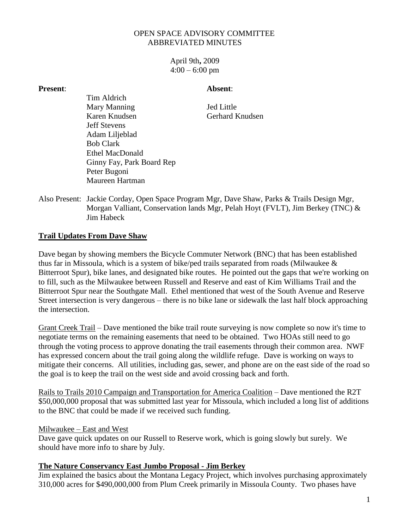## OPEN SPACE ADVISORY COMMITTEE ABBREVIATED MINUTES

April 9th**,** 2009  $4:00 - 6:00$  pm

#### **Present**: **Absent**:

Tim Aldrich Mary Manning Jed Little Karen Knudsen Gerhard Knudsen Jeff Stevens Adam Liljeblad Bob Clark Ethel MacDonald Ginny Fay, Park Board Rep Peter Bugoni Maureen Hartman

Also Present: Jackie Corday, Open Space Program Mgr, Dave Shaw, Parks & Trails Design Mgr, Morgan Valliant, Conservation lands Mgr, Pelah Hoyt (FVLT), Jim Berkey (TNC) & Jim Habeck

# **Trail Updates From Dave Shaw**

Dave began by showing members the Bicycle Commuter Network (BNC) that has been established thus far in Missoula, which is a system of bike/ped trails separated from roads (Milwaukee & Bitterroot Spur), bike lanes, and designated bike routes. He pointed out the gaps that we're working on to fill, such as the Milwaukee between Russell and Reserve and east of Kim Williams Trail and the Bitterroot Spur near the Southgate Mall. Ethel mentioned that west of the South Avenue and Reserve Street intersection is very dangerous – there is no bike lane or sidewalk the last half block approaching the intersection.

Grant Creek Trail – Dave mentioned the bike trail route surveying is now complete so now it's time to negotiate terms on the remaining easements that need to be obtained. Two HOAs still need to go through the voting process to approve donating the trail easements through their common area. NWF has expressed concern about the trail going along the wildlife refuge. Dave is working on ways to mitigate their concerns. All utilities, including gas, sewer, and phone are on the east side of the road so the goal is to keep the trail on the west side and avoid crossing back and forth.

Rails to Trails 2010 Campaign and Transportation for America Coalition – Dave mentioned the R2T \$50,000,000 proposal that was submitted last year for Missoula, which included a long list of additions to the BNC that could be made if we received such funding.

### Milwaukee – East and West

Dave gave quick updates on our Russell to Reserve work, which is going slowly but surely. We should have more info to share by July.

### **The Nature Conservancy East Jumbo Proposal - Jim Berkey**

Jim explained the basics about the Montana Legacy Project, which involves purchasing approximately 310,000 acres for \$490,000,000 from Plum Creek primarily in Missoula County. Two phases have